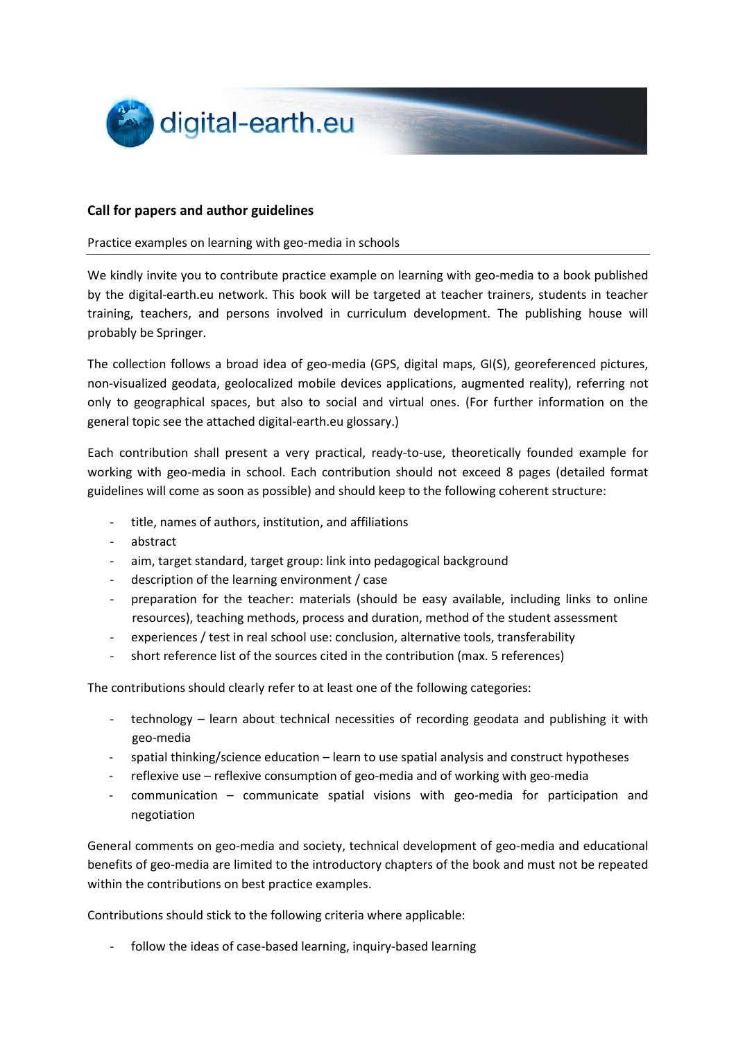

#### **Call for papers and author guidelines**

#### Practice examples on learning with geo-media in schools

We kindly invite you to contribute practice example on learning with geo-media to a book published by the digital-earth.eu network. This book will be targeted at teacher trainers, students in teacher training, teachers, and persons involved in curriculum development. The publishing house will probably be Springer.

The collection follows a broad idea of geo-media (GPS, digital maps, GI(S), georeferenced pictures, non-visualized geodata, geolocalized mobile devices applications, augmented reality), referring not only to geographical spaces, but also to social and virtual ones. (For further information on the general topic see the attached digital-earth.eu glossary.)

Each contribution shall present a very practical, ready-to-use, theoretically founded example for working with geo-media in school. Each contribution should not exceed 8 pages (detailed format guidelines will come as soon as possible) and should keep to the following coherent structure:

- *-* title, names of authors, institution, and affiliations
- *-* abstract
- *-* aim, target standard, target group: link into pedagogical background
- *-* description of the learning environment / case
- *-* preparation for the teacher: materials (should be easy available, including links to online resources), teaching methods, process and duration, method of the student assessment
- *-* experiences / test in real school use: conclusion, alternative tools, transferability
- *-* short reference list of the sources cited in the contribution (max. 5 references)

The contributions should clearly refer to at least one of the following categories:

- *-* technology learn about technical necessities of recording geodata and publishing it with geo-media
- *-* spatial thinking/science education learn to use spatial analysis and construct hypotheses
- *-* reflexive use reflexive consumption of geo-media and of working with geo-media
- *-* communication communicate spatial visions with geo-media for participation and negotiation

General comments on geo-media and society, technical development of geo-media and educational benefits of geo-media are limited to the introductory chapters of the book and must not be repeated within the contributions on best practice examples.

Contributions should stick to the following criteria where applicable:

*-* follow the ideas of case-based learning, inquiry-based learning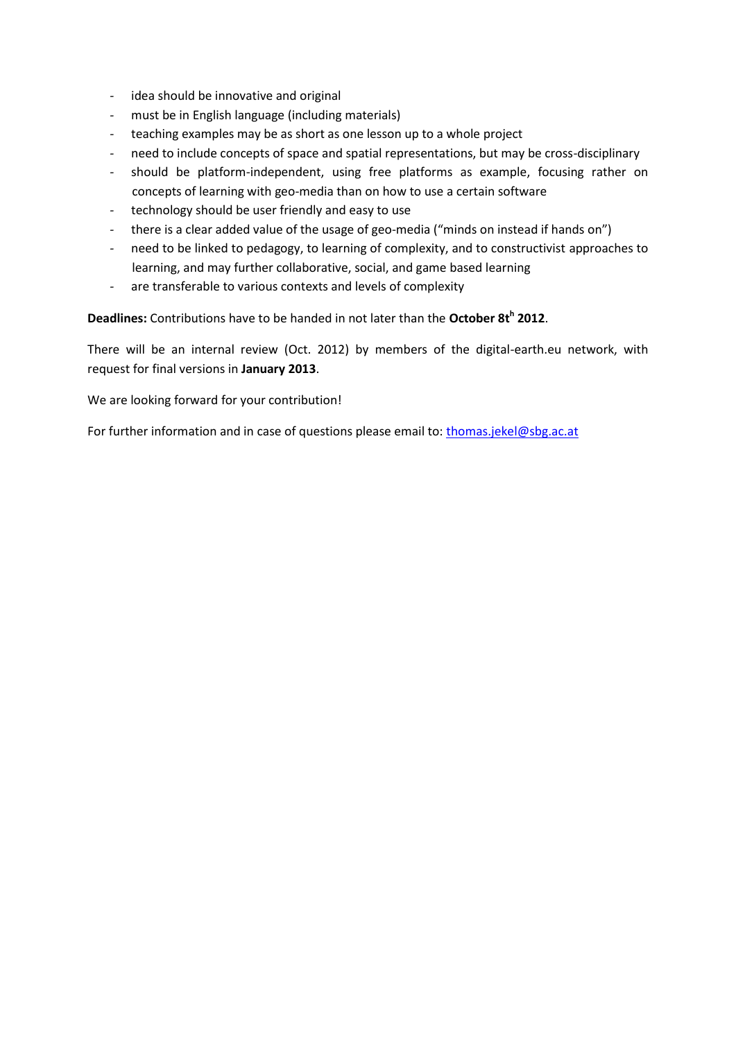- *-* idea should be innovative and original
- *-* must be in English language (including materials)
- *-* teaching examples may be as short as one lesson up to a whole project
- *-* need to include concepts of space and spatial representations, but may be cross-disciplinary
- *-* should be platform-independent, using free platforms as example, focusing rather on concepts of learning with geo-media than on how to use a certain software
- *-* technology should be user friendly and easy to use
- *-* there is a clear added value of the usage of geo-media ("minds on instead if hands on")
- *-* need to be linked to pedagogy, to learning of complexity, and to constructivist approaches to learning, and may further collaborative, social, and game based learning
- *-* are transferable to various contexts and levels of complexity

**Deadlines:** Contributions have to be handed in not later than the **October 8t<sup>h</sup> 2012**.

There will be an internal review (Oct. 2012) by members of the digital-earth.eu network, with request for final versions in **January 2013**.

We are looking forward for your contribution!

For further information and in case of questions please email to: [thomas.jekel@sbg.ac.at](mailto:thomas.jekel@sbg.ac.at)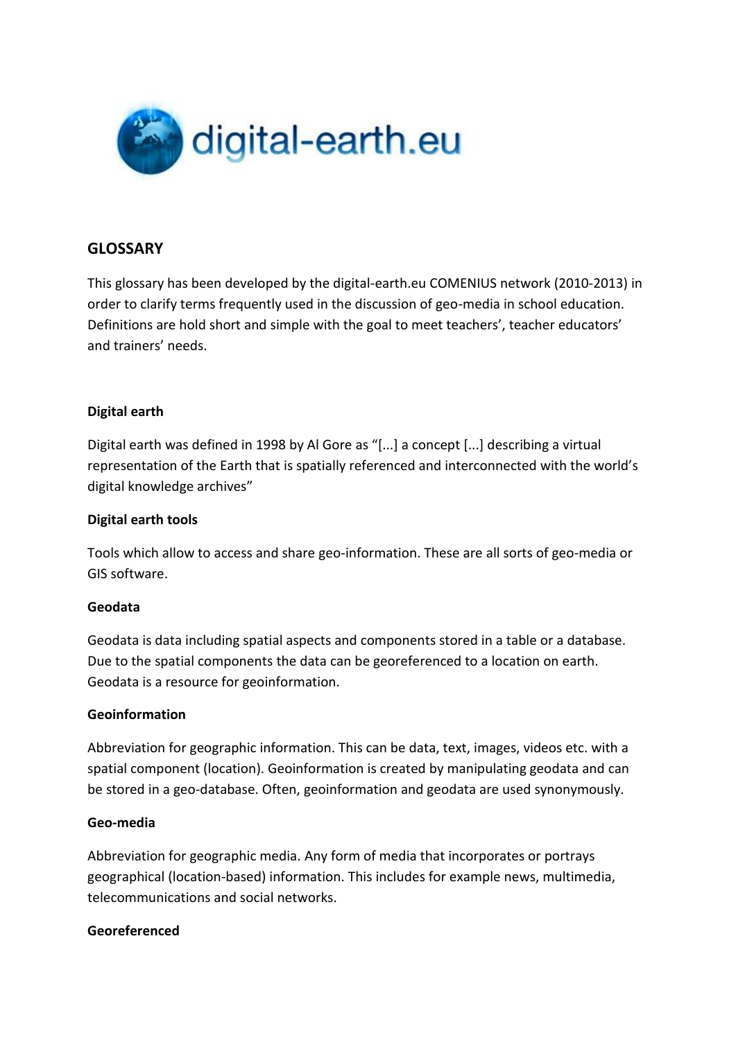

## **GLOSSARY**

This glossary has been developed by the digital-earth.eu COMENIUS network (2010-2013) in order to clarify terms frequently used in the discussion of geo-media in school education. Definitions are hold short and simple with the goal to meet teachers', teacher educators' and trainers' needs.

### **Digital earth**

Digital earth was defined in 1998 by Al Gore as "[...] a concept [...] describing a virtual representation of the Earth that is spatially referenced and interconnected with the world's digital knowledge archives"

### **Digital earth tools**

Tools which allow to access and share geo-information. These are all sorts of geo-media or GIS software.

#### **Geodata**

Geodata is data including spatial aspects and components stored in a table or a database. Due to the spatial components the data can be georeferenced to a location on earth. Geodata is a resource for geoinformation.

#### **Geoinformation**

Abbreviation for geographic information. This can be data, text, images, videos etc. with a spatial component (location). Geoinformation is created by manipulating geodata and can be stored in a geo-database. Often, geoinformation and geodata are used synonymously.

#### **Geo-media**

Abbreviation for geographic media. Any form of media that incorporates or portrays geographical (location-based) information. This includes for example news, multimedia, telecommunications and social networks.

#### **Georeferenced**